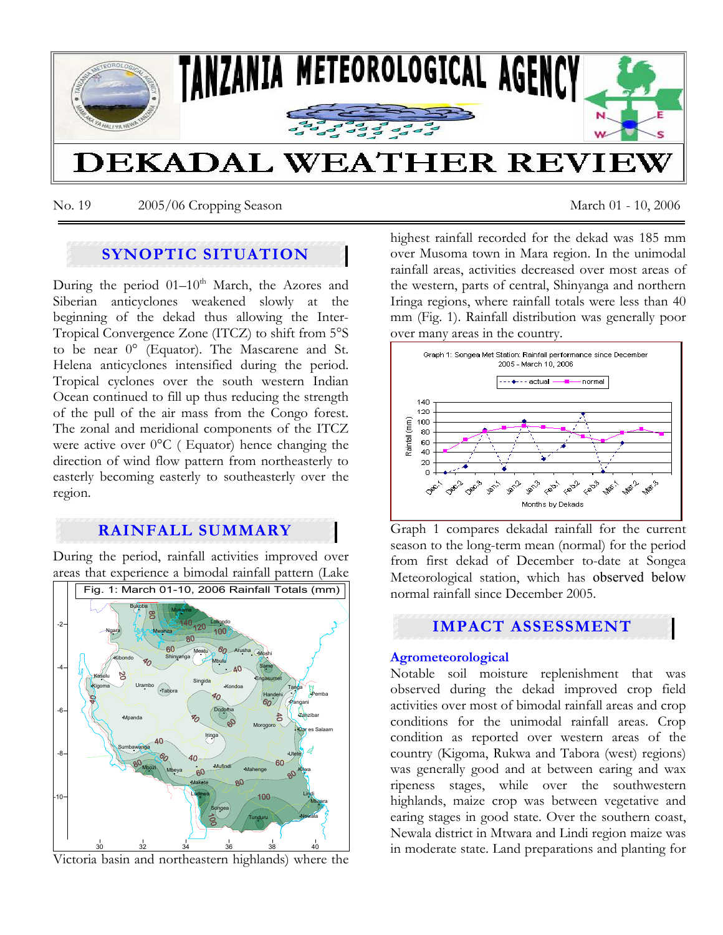

No. 19 2005/06 Cropping Season March 01 - 10, 2006

# **SYNOPTIC SITUATION**

During the period  $01-10^{th}$  March, the Azores and Siberian anticyclones weakened slowly at the beginning of the dekad thus allowing the Inter-Tropical Convergence Zone (ITCZ) to shift from 5°S to be near 0° (Equator). The Mascarene and St. Helena anticyclones intensified during the period. Tropical cyclones over the south western Indian Ocean continued to fill up thus reducing the strength of the pull of the air mass from the Congo forest. The zonal and meridional components of the ITCZ were active over 0°C ( Equator) hence changing the direction of wind flow pattern from northeasterly to easterly becoming easterly to southeasterly over the region.

# **RAINFALL SUMMARY**

During the period, rainfall activities improved over areas that experience a bimodal rainfall pattern (Lake



Victoria basin and northeastern highlands) where the

highest rainfall recorded for the dekad was 185 mm over Musoma town in Mara region. In the unimodal rainfall areas, activities decreased over most areas of the western, parts of central, Shinyanga and northern Iringa regions, where rainfall totals were less than 40 mm (Fig. 1). Rainfall distribution was generally poor over many areas in the country.



Graph 1 compares dekadal rainfall for the current season to the long-term mean (normal) for the period from first dekad of December to-date at Songea Meteorological station, which has observed below normal rainfall since December 2005.

# **IMPACT ASSESSMENT**

### **Agrometeorological**

Notable soil moisture replenishment that was observed during the dekad improved crop field activities over most of bimodal rainfall areas and crop conditions for the unimodal rainfall areas. Crop condition as reported over western areas of the country (Kigoma, Rukwa and Tabora (west) regions) was generally good and at between earing and wax ripeness stages, while over the southwestern highlands, maize crop was between vegetative and earing stages in good state. Over the southern coast, Newala district in Mtwara and Lindi region maize was in moderate state. Land preparations and planting for